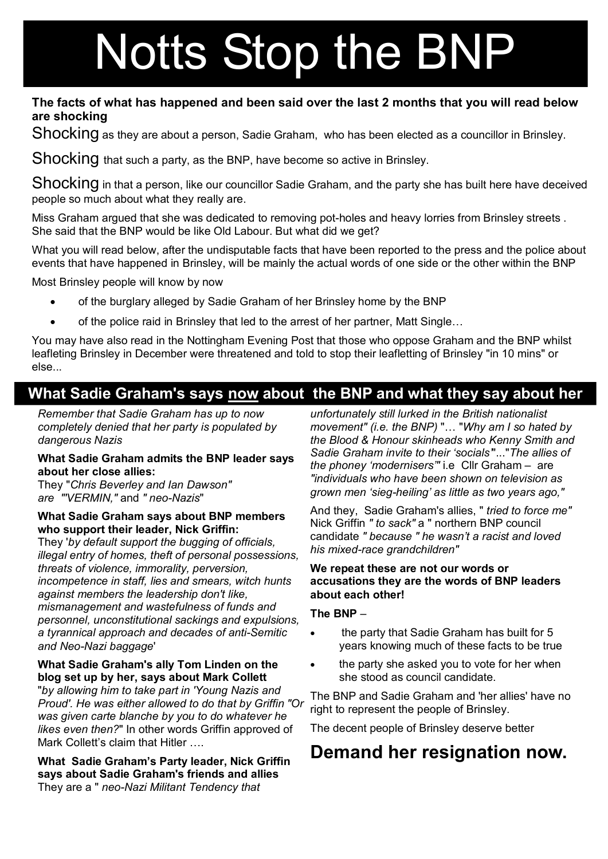# Notts Stop the BNP

#### **The facts of what has happened and been said over the last 2 months that you will read below are shocking**

Shocking as they are about a person, Sadie Graham, who has been elected as a councillor in Brinsley.

Shocking that such a party, as the BNP, have become so active in Brinsley.

Shocking in that a person, like our councillor Sadie Graham, and the party she has built here have deceived people so much about what they really are.

Miss Graham argued that she was dedicated to removing pot-holes and heavy lorries from Brinsley streets. She said that the BNP would be like Old Labour. But what did we get?

What you will read below, after the undisputable facts that have been reported to the press and the police about events that have happened in Brinsley, will be mainly the actual words of one side or the other within the BNP

Most Brinsley people will know by now

- · of the burglary alleged by Sadie Graham of her Brinsley home by the BNP
- · of the police raid in Brinsley that led to the arrest of her partner, Matt Single…

You may have also read in the Nottingham Evening Post that those who oppose Graham and the BNP whilst leafleting Brinsley in December were threatened and told to stop their leafletting of Brinsley "in 10 mins" or else...

### **What Sadie Graham's says now about the BNP and what they say about her**

*Remember that Sadie Graham has up to now completely denied that her party is populated by dangerous Nazis*

#### **What Sadie Graham admits the BNP leader says about her close allies:**

They "*Chris Beverley and Ian Dawson" are "'VERMIN."* and "*neo-Nazis*"

#### **What Sadie Graham says about BNP members who support their leader, Nick Griffin:**

They '*by default support the bugging of officials, illegal entry of homes, theft of personal possessions, threats of violence, immorality, perversion, incompetence in staff, lies and smears, witch hunts against members the leadership don't like, mismanagement and wastefulness of funds and personnel, unconstitutional sackings and expulsions,*  a tyrannical approach and decades of anti-Semitic and Neo-Nazi baggage'

#### **What Sadie Graham's ally Tom Linden on the blog set up by her, says about Mark Collett**

"*by allowing him to take part in 'Young Nazis and Proud'. He was either allowed to do that by Griffin "Or was given carte blanche by you to do whatever he likes even then?*" In other words Griffin approved of Mark Collett's claim that Hitler ….

**What Sadie Graham's Party leader, Nick Griffin says about Sadie Graham's friends and allies** They are a " *neo-Nazi Militant Tendency that* 

*unfortunately still lurked in the British nationalist movement" (i.e. the BNP)* "… "*Why am I so hated by the Blood & Honour skinheads who Kenny Smith and Sadie Graham invite to their 'socials'*"..."*The allies of the phoney 'modernisers'"* i.e Cllr Graham – are *"individuals who have been shown on television as grown men 'siegheiling' as little as two years ago,"*

And they, Sadie Graham's allies, " *tried to force me"* Nick Griffin *" to sack"* a " northern BNP council candidate *" because " he wasn't a racist and loved his mixed-race grandchildren"* 

#### **We repeat these are not our words or accusations they are the words of BNP leaders about each other!**

#### **The BNP** –

- · the party that Sadie Graham has built for 5 years knowing much of these facts to be true
- the party she asked you to vote for her when she stood as council candidate.

The BNP and Sadie Graham and 'her allies' have no right to represent the people of Brinsley.

The decent people of Brinsley deserve better

### **Demand her resignation now.**